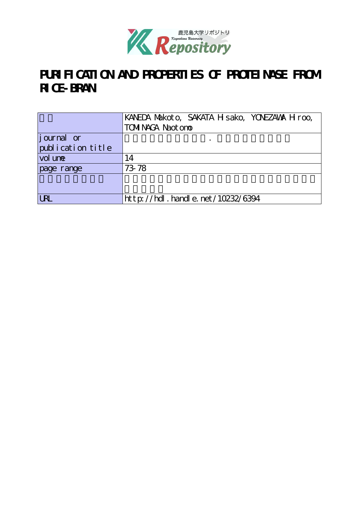

## PURI FI CATI ON AND PROPERTIES OF PROTEINASE FROM **RICE-BRAN**

|                   | KANEDA Makoto, SAKATA H sako, YONEZAWA H roo, |  |  |
|-------------------|-----------------------------------------------|--|--|
|                   | <b>TOMINAGA Naot one</b>                      |  |  |
| journal or        |                                               |  |  |
| publication title |                                               |  |  |
| vol une           | 14                                            |  |  |
| page range        | 73-78                                         |  |  |
|                   |                                               |  |  |
|                   |                                               |  |  |
| <b>URL</b>        | http://hdl.handle.net/10232/6394              |  |  |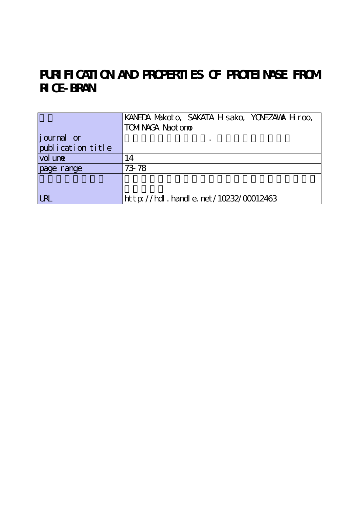# PURI FI CATI ON AND PROPERTIES OF PROTEINASE FROM **RICE-BRAN**

|                   | KANEDA Makoto, SAKATA H sako, YONEZAWA H roo, |  |  |
|-------------------|-----------------------------------------------|--|--|
|                   | <b>TOMINAGA Naot one</b>                      |  |  |
| journal or        |                                               |  |  |
| publication title |                                               |  |  |
| vol une           | 14                                            |  |  |
| page range        | 73 78                                         |  |  |
|                   |                                               |  |  |
|                   |                                               |  |  |
| <b>LRL</b>        | $http$ : //hdl. handle. net /10232/00012463   |  |  |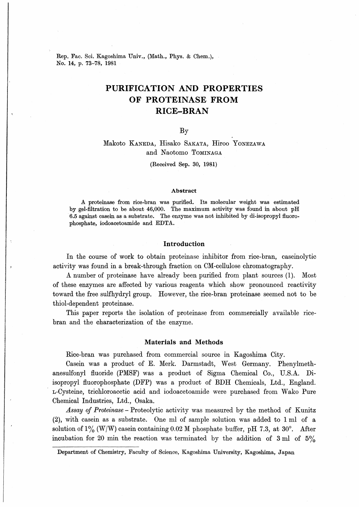Rep. Fac. Sci. Kagoshima Univ., (Math., Phys. & Chem.), No. 14, p. 73-78, 1981

### PURIFICATION AND PROPERTIES OF PROTEINASE FROM RICE-BRAN

#### By

### Makoto Kaneda, Hisako Sakata, Hiroo Yonezawa and Naotomo Tominaga

(Received Sep. 30, 1981)

#### Abstract

A proteinase from rice-bran was purified. Its molecular weight was estimated by gel-filtration to be about 46,000. The maximum activity was found in about pH 6.5 against casein as a substrate. The enzyme was not inhibited by di-isopropyl fluorophosphate, iodoacetoamide and EDTA.

#### Introduction

In the course of work to obtain proteinase inhibitor from rice-bran, caseinolytic activity was found in a break-through fraction on CM-cellulose chromatography.

A number of proteinase have already been purified from plant sources (1). Most of these enzymes are affected by various reagents which show pronounced reactivity toward the free sulfhydryl group. However, the rice-bran proteinase seemed not to be thiol-dependent proteinase.

This paper reports the isolation of proteinase from commercially available ricebran and the characterization of the enzyme.

#### Materials and Methods

Rice-bran was purchased from commercial source in Kagoshima City.

Casein was a product of E. Merk. Darmstadt, West Germany. Phenylmethanesulfonyl fluoride (PMSF) was a product of Sigma Chemical Co., U.S.A. Diisopropyl fluorophospliate (DFP) was a product of BDH Chemicals, Ltd., England. L-Cysteine, trichloroacetic acid and iodoacetoamide were purchased from Wako Pure Chemical Industries, Ltd., Osaka.

Assay of Proteinase - Proteolytic activity was measured by the method of Kunitz (2), with casein as a substrate. One ml of sample solution was added to lml of a solution of  $1\%$  (W/W) casein containing 0.02 M phosphate buffer, pH 7.3, at 30°. After incubation for 20 min the reaction was terminated by the addition of  $3 \text{ ml}$  of  $5\%$ 

Department of Chemistry, Faculty of Science, Kagoshima University, Kagoshima, Japan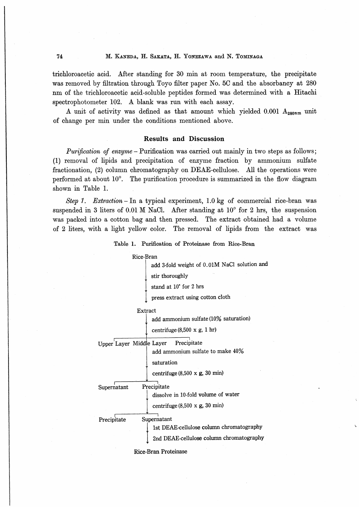trichloroacetic acid. After standing for 30 min at room temperature, the precipitate was removed by filtration through Toyo filter paper No. 5C and the absorbancy at 280 nm of the trichloroacetic acid-soluble peptides formed was determined with a Hitachi spectrophotometer 102. A blank was run with each assay.

A unit of activity was defined as that amount which yielded  $0.001$   $A_{280nm}$  unit of change per min under the conditions mentioned above.

#### Results and Discussion

Purification of enzyme - Purification was carried out mainly in two steps as follows; (1) removal of lipids and precipitation of enzyme fraction by ammonium sulfate fractionation, (2) column chromatography on DEAE-cellulose. All the operations were performed at about  $10^{\circ}$ . The purification procedure is summarized in the flow diagram shown in Table 1.

Step 1. Extraction - In a typical experiment, 1.0 kg of commercial rice-bran was suspended in 3 liters of 0.01 M NaCl. After standing at  $10^{\circ}$  for 2 hrs, the suspension was packed into a cotton bag and then pressed. The extract obtained had a volume of 2 liters, with a light yellow color. The removal of lipids from the extract was

Table 1. Purification of Proteinase from Rice-Bran

#### Rice-Bran

add 3-fold weight of 0.01M NaCl solution and stir thoroughly

stand at 10° for 2 hrs

press extract using cotton cloth

Extract

add ammonium sulfate (10% saturation) centrifuge  $(8,500 \times g, 1 \text{ hr})$ 

Upper Layer Middle Layer Precipitate

add ammonium sulfate to make 40% satur ation

centrifuge  $(8,500 \times g, 30 \text{ min})$ 

Precipitate Supernatant

> dissolve in 10-fold volume of water centrifuge  $(8,500 \times g, 30 \text{ min})$

Precipitate Supernatant

1st DEAE-cellulose column chromatography 2nd DEAE-cellulose column chromatography

Rice-Bran Proteinase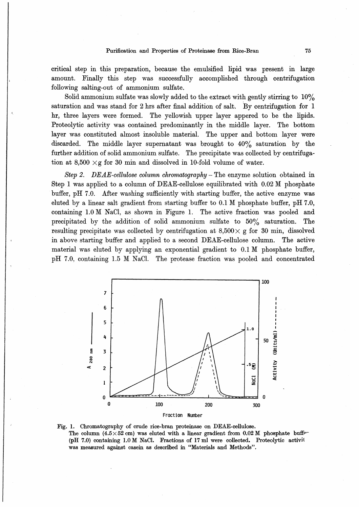critical step in this preparation, because the emulsified lipid was present in large amount. Finally this step was successfully accomplished through centrifugation following salting-out of ammonium sulfate.

Solid ammonium sulfate was slowly added to the extract with gently stirring to  $10\%$ saturation and was stand for 2 hrs after final addition of salt. By centrifugation for 1 hr, three layers were formed. The yellowish upper layer appered to be the lipids. Proteolytic activity was contained predominantly in the middle layer. The bottom layer was constituted almost insoluble material. The upper and bottom layer were discarded. The middle layer supernatant was brought to 40% saturation by the further addition of solid ammonium sulfate. The precipitate was collected by centrifugation at 8,500  $\times$ g for 30 min and dissolved in 10-fold volume of water.

Step 2. DEAE-cellulose column chromatography - The enzyme solution obtained in Step 1 was applied to a column of DEAE-cellulose equilibrated with 0.02 M phosphate buffer,  $pH$  7.0. After washing sufficiently with starting buffer, the active enzyme was eluted by a linear salt gradient from starting buffer to  $0.1 \text{ M}$  phosphate buffer, pH 7.0, containing  $1.0 M$  NaCl, as shown in Figure 1. The active fraction was pooled and precipitated by the addition of solid ammonium sulfate to  $50\%$  saturation. The resulting precipitate was collected by centrifugation at  $8,500 \times g$  for 30 min, dissolved in above starting buffer and applied to a second DEAE-cellulose column. The active material was eluted by applying an exponential gradient to 0.1 M phosphate buffer, pH 7.0, containing 1.5 M NaCl. The protease fraction was pooled and concentrated



Fig. 1. Chromatography of crude rice-bran proteinase on DEAE-cellulose. The column (4.5×52 cm) was eluted with a linear gradient from 0.02 M phosphate buffer (pH 7.0) containing  $1.0 M$  NaCl. Fractions of 17 ml were collected. Proteolytic activit was measured against casein as described in "Materials and Methods".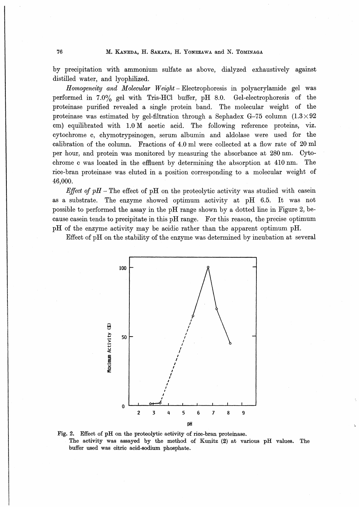by precipitation with ammonium sulfate as above, dialyzed exhaustively against distilled water, and lyophilized.

 $H_{\alpha\beta\gamma\alpha\gamma\alpha\gamma\alpha\gamma\sigma}$  and Molecular Homogeneity and Molecular Weight - Electrophoresis in polyacrylamide gel was proteinase purified revealed a single protein band. The molecular weight of the proteinase was estimated by gel-filtration through a Sephadex G-75 column  $(1.3 \times 92)$ expressionalistic was estimated by get inclusion enrough a sephatical of the series viz. calibration of the column. Fractions of  $4.0$  ml were collected at a flow rate of  $20$  ml per hourselves of the boundary measurement of the absorbed by measurement of the absorbed by measurement of  $\frac{1}{2}$ per hour, and protein was monitored by measuring the absorbance at 280 nm. Cytoproteinase purified revealed a single protein band. The molecular weight of the proteinase was estimated by gel-filtration through a Sephadex G-75 column  $(1.3 \times 92 \text{ cm})$  equilibrated with 1.0 M acetic acid. The following rice-bran proteinase was eluted in a position corresponding to a molecular weight of<br>4.6.000  $p_{\text{p}}$ 

*Effect of pH* – The effect of pH on the proteolytic activity was studied with casein as a substrate. The enzyme showed optimum activity at pH  $6.5$ . It was not people to performed the executive the  $n_{\text{H}}$  person shown by a detted line in Figure  $\alpha$  ossible to performed the assay in the pri-range shown by a dotted line in Figure 2, because case in tends to precipitate in this pH range. For this reason, the precise optimum pH of the enzyme activity may be acidic rather than the apparent optimum pH.

Effect of pH on the stability of the enzyme was determined by incubation at several



Fig. 2. Effect of pH on the proteolytic activity of rice-bran proteinase. The activity was assayed by the method of Kunitz (2) at various pH values. The buffer used was citric acid-sodium phosphate.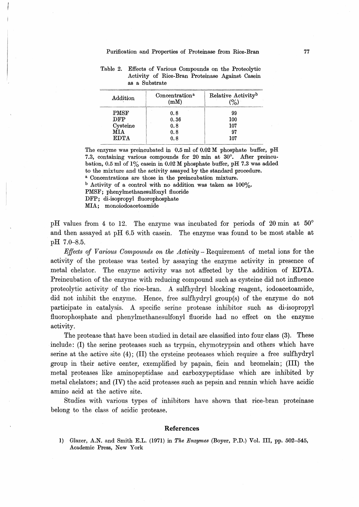| Addition    | Concentration <sup>a</sup><br>(mM) | Relative Activity <sup>b</sup> |
|-------------|------------------------------------|--------------------------------|
| <b>PMSF</b> | 0.8                                | 99                             |
| <b>DFP</b>  | 0.36                               | 100                            |
| Cysteine    | 0.8                                | 107                            |
| MTA         | 0.8                                | 97                             |
| <b>EDTA</b> | 0.8                                | 107                            |

Table 2. Effects of Various Compounds on the Proteolytic Activity of Rice-Bran Proteinase Against Casein as a Substrate

The enzyme was preincubated in 0.5 ml of 0.02 M phosphate buffer, pH 7.3, containing various compounds for 20 min at 30°. After preincubation, 0.5 ml of  $1\%$  casein in 0.02 M phosphate buffer, pH 7.3 was added to the mixture and the activity assayed by the standard procedure. a Concentrations are those in the preincubation mixture.

 $b$  Activity of a control with no addition was taken as  $100\%$ .

PMSF ; phenylmethanesulfonyl fluoride

DFP; di-isopropyl fluorophosphate

MIA; monoiodoacetoamide

pH values from 4 to 12. The enzyme was incubated for periods of 20 min at  $50^{\circ}$ and then assayed at pH 6.5 with casein. The enzyme was found to be most stable at pH 7.0-8.5.

*Effects of Various Compounds on the Activity* – Requirement of metal ions for the activity of the protease was tested by assaying the enzyme activity in presence of metal chelator. The enzyme activity was not affected by the addition of EDTA. Preincubation of the enzyme with reducing compound such as cysteine did not influence proteolytic activity of the rice-bran. A sulfhydryl blocking reagent, iodoacetoamide, did not inhibit the enzyme. Hence, free sulfhydryl group(s) of the enzyme do not participate in catalysis. A specific serine protease inhibitor such as di-isopropyl 且uorophosphate and phenylmethanesulfonyl fluoride had no effect on the enzyme activity.

The protease that have been studied in detail are classified into four class (3). These include: (I) the serine proteases such as trypsin, chymotrypsin and others which have serine at the active site (4); (II) the cysteine proteases which require a free sulfhydryl group in their active center, exemplified by papain, ficin and bromelam; (III) the metal proteases like aminopeptidase and carboxypeptidase which are inhibited by metal chelators; and (IV) the acid proteases such as pepsin and rennin which have acidic amino acid at the active site.

Studies with various types of inhibitors have shown that rice-bran proteinase belong to the class of acidic protease.

#### References

l) Glazer, A.N. and Smith E.L. (1971) in The Enzymes (Boyer, P.D.) Vol. Ill, pp. 502-545, Academic Press, New York